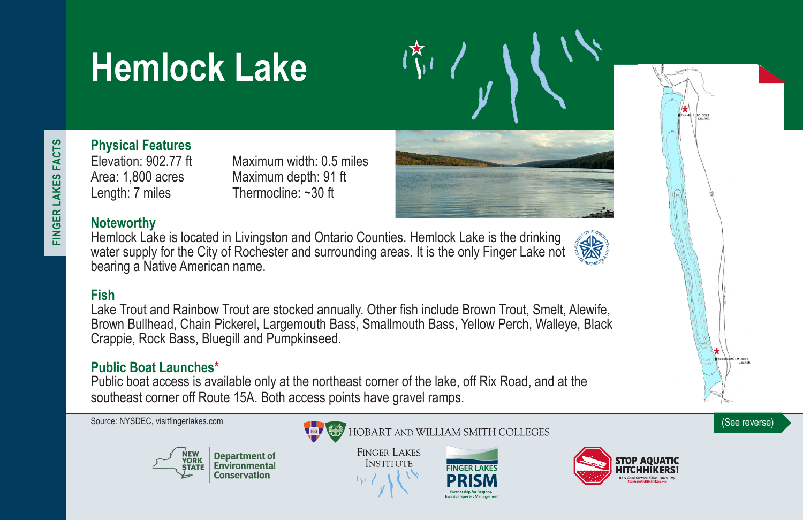# **Hemlock Lake**

Elevation: 902.77 ft Maximum width: 0.5 miles Area: 1,800 acres Maximum depth: 91 ft Length: 7 miles Thermocline: ~30 ft



# **Noteworthy**

**Physical Features**

Hemlock Lake is located in Livingston and Ontario Counties. Hemlock Lake is the drinking water supply for the City of Rochester and surrounding areas. It is the only Finger Lake not bearing a Native American name.



# **Fish**

Lake Trout and Rainbow Trout are stocked annually. Other fish include Brown Trout, Smelt, Alewife, Brown Bullhead, Chain Pickerel, Largemouth Bass, Smallmouth Bass, Yellow Perch, Walleye, Black Crappie, Rock Bass, Bluegill and Pumpkinseed.

# **Public Boat Launches\***

Public boat access is available only at the northeast corner of the lake, off Rix Road, and at the southeast corner off Route 15A. Both access points have gravel ramps.